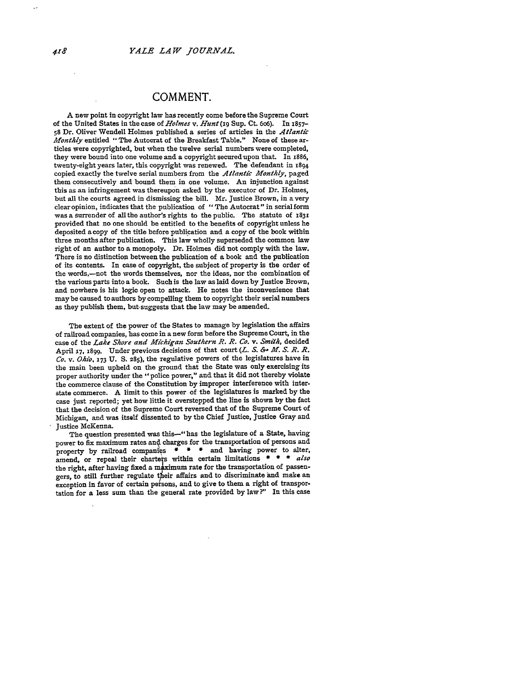## **COMMENT.**

A new point in copyright law has recently come before the Supreme Court of the United States in the case of *Holmes v. Hunt* (xg Sup. Ct. 6o6). In **1857- <sup>58</sup>**Dr. Oliver Wendell Holmes published a series of articles in the *Atlantic Monthly* entitled "The Autocrat of the Breakfast Table." None of these articles were copyrighted, but when the twelve serial numbers were completed, they were bound into one volume and a copyright secured upon that. In i886, twenty-eight years later, this copyright was renewed. The defendant in 1894 copied exactly the twelve serial numbers from the *Atlantic Monthly,* paged them consecutively and bound them in one volume. An injunction against this as an infringement was thereupon asked **by** the executor of Dr. Holmes, but all the courts agreed in dismissing the bill. Mr. Justice Brown, in a very clearopinion, indicates that the publication of "The Autocrat" in serialform was a surrender of all the author's rights to the public. The statute of i831 provided that no one should **be** entitled to the benefits of copyright unless he deposited a copy of the title before publication and a copy of the book within three months after publication. This law wholly superseded the common law right of an author to a monopoly. Dr. Holmes did not comply with the law. There is no distinction between the publication of a book and the publication of its contents. In case of copyright, the subject of property is the order of the words,-not the words themselves, nor the ideas, nor the combination of the various parts into a book. Such is the law as laid down **by** Justice Brown, and nowhere is his logic open to attack. He notes the inconvenience that may be caused to authors **by** compelling them to copyright their serial numbers as they publish them, but. suggests that the law may be amended.

The extent of the power of the States to manage **by** legislation the affairs of railroad companies, has come in a new form before the Supreme Court, in the case of the *Lake Shore and Michigan Southern R. R. Co. v. Smith,* decided April 17, 1899. Under previous decisions of that court (L. S. & M. S. R. R. *Co. v. Ohio,* **173** U. **S.** 285), the regulative powers of the legislatures have in the main been upheld on the ground that the State was only exercising its proper authority under the "police power," and that it did not thereby violate the commerce clause of the Constitution **by** improper interference with interstate commerce. A limit to this power of the legislatures is marked by the case just reported; yet how little it overstepped the line is shown **by** the fact that the decision of the Supreme Court reversed that of the Supreme Court of Michigan, and was itself dissented to by the Chief Justice, Justice Gray and Justice McKenna.

The question presented was this-" has the legislature of a State, having power to fix maximum rates and charges for the transportation of persons and property by railroad companies \* \* \* and having power to alter, amend, or repeal their charters within certain limitations **\* \* \*** *also* the right, after having fixed a maximum rate for the transportation of passengers, to still further regulate their affairs and to discriminate and make an exception in favor of certain persons, and to give to them a right of transportation for a less sum than the general rate provided **by** law ?" In this case

418